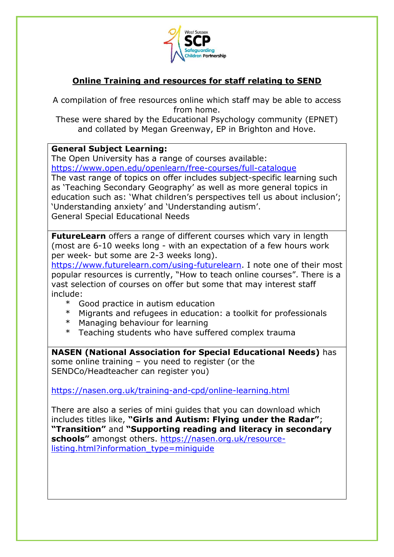

## **Online Training and resources for staff relating to SEND**

A compilation of free resources online which staff may be able to access from home.

These were shared by the Educational Psychology community (EPNET) and collated by Megan Greenway, EP in Brighton and Hove.

## **General Subject Learning:**

The Open University has a range of courses available:

<https://www.open.edu/openlearn/free-courses/full-catalogue>

The vast range of topics on offer includes subject-specific learning such as 'Teaching Secondary Geography' as well as more general topics in education such as: 'What children's perspectives tell us about inclusion'; 'Understanding anxiety' and 'Understanding autism'. General Special Educational Needs

**FutureLearn** offers a range of different courses which vary in length (most are 6-10 weeks long - with an expectation of a few hours work per week- but some are 2-3 weeks long).

[https://www.futurelearn.com/using-futurelearn.](https://www.futurelearn.com/using-futurelearn) I note one of their most popular resources is currently, "How to teach online courses". There is a vast selection of courses on offer but some that may interest staff include:

- \* Good practice in autism education
- \* Migrants and refugees in education: a toolkit for professionals
- \* Managing behaviour for learning
- \* Teaching students who have suffered complex trauma

**NASEN (National Association for Special Educational Needs)** has some online training – you need to register (or the SENDCo/Headteacher can register you)

<https://nasen.org.uk/training-and-cpd/online-learning.html>

There are also a series of mini guides that you can download which includes titles like, **"Girls and Autism: Flying under the Radar"**; **"Transition"** and **"Supporting reading and literacy in secondary schools"** amongst others. [https://nasen.org.uk/resource](https://nasen.org.uk/resource-listing.html?information_type=miniguide)[listing.html?information\\_type=miniguide](https://nasen.org.uk/resource-listing.html?information_type=miniguide)